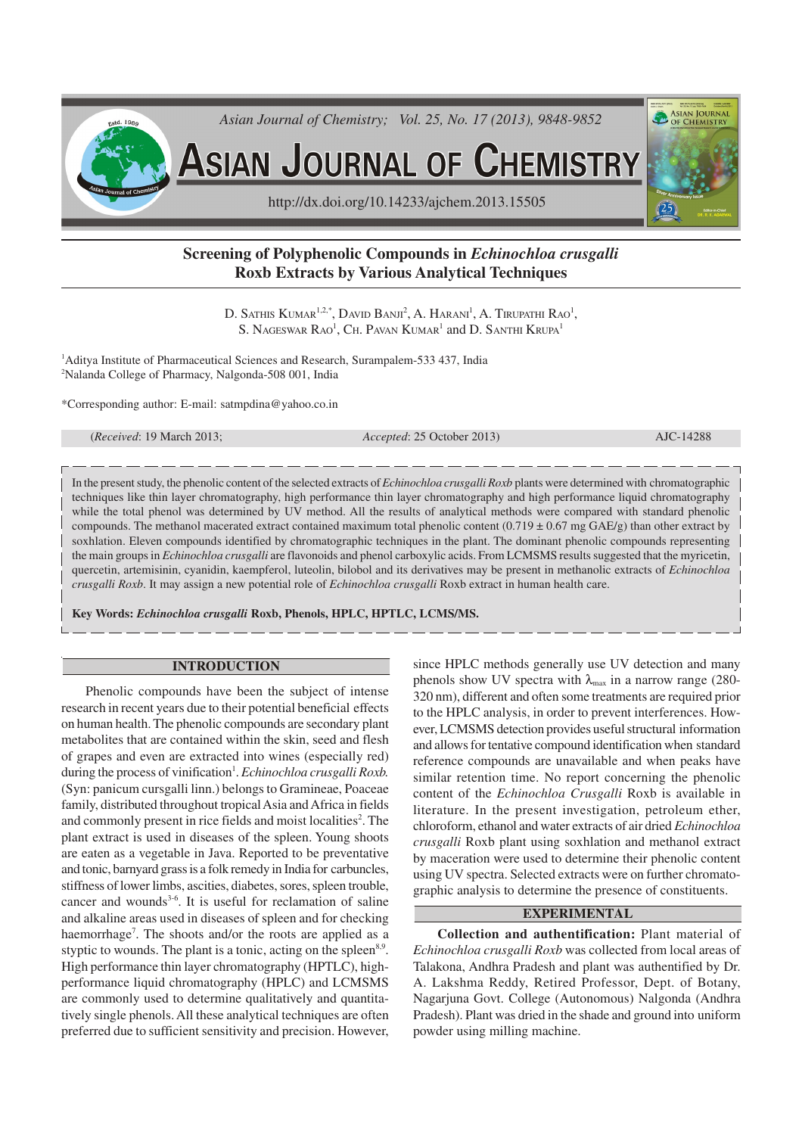

# **Screening of Polyphenolic Compounds in** *Echinochloa crusgalli* **Roxb Extracts by Various Analytical Techniques**

D. SATHIS  $\rm K$ umar $^{1,2,*}$ , David Banji $^2$ , A. Harani $^1$ , A. Tirupathi Rao $^1$ , S. NAGESWAR  $\mathrm{R}\mathrm{AO}^1$ , Ch. Pavan Kumar<sup>1</sup> and D. Santhi Krupa<sup>1</sup>

<sup>1</sup>Aditya Institute of Pharmaceutical Sciences and Research, Surampalem-533 437, India <sup>2</sup>Nalanda College of Pharmacy, Nalgonda-508 001, India

\*Corresponding author: E-mail: satmpdina@yahoo.co.in

| Received: 19 March 2013: |
|--------------------------|
|--------------------------|

(*Received*: 19 March 2013; *Accepted*: 25 October 2013) AJC-14288

In the present study, the phenolic content of the selected extracts of *Echinochloa crusgalli Roxb* plants were determined with chromatographic techniques like thin layer chromatography, high performance thin layer chromatography and high performance liquid chromatography while the total phenol was determined by UV method. All the results of analytical methods were compared with standard phenolic compounds. The methanol macerated extract contained maximum total phenolic content (0.719  $\pm$  0.67 mg GAE/g) than other extract by soxhlation. Eleven compounds identified by chromatographic techniques in the plant. The dominant phenolic compounds representing the main groups in *Echinochloa crusgalli* are flavonoids and phenol carboxylic acids. From LCMSMS results suggested that the myricetin, quercetin, artemisinin, cyanidin, kaempferol, luteolin, bilobol and its derivatives may be present in methanolic extracts of *Echinochloa crusgalli Roxb*. It may assign a new potential role of *Echinochloa crusgalli* Roxb extract in human health care.

**Key Words:** *Echinochloa crusgalli* **Roxb, Phenols, HPLC, HPTLC, LCMS/MS.**

## **INTRODUCTION**

Phenolic compounds have been the subject of intense research in recent years due to their potential beneficial effects on human health. The phenolic compounds are secondary plant metabolites that are contained within the skin, seed and flesh of grapes and even are extracted into wines (especially red) during the process of vinification<sup>1</sup>. *Echinochloa crusgalli Roxb*. (Syn: panicum cursgalli linn.) belongs to Gramineae, Poaceae family, distributed throughout tropical Asia and Africa in fields and commonly present in rice fields and moist localities<sup>2</sup>. The plant extract is used in diseases of the spleen. Young shoots are eaten as a vegetable in Java. Reported to be preventative and tonic, barnyard grass is a folk remedy in India for carbuncles, stiffness of lower limbs, ascities, diabetes, sores, spleen trouble, cancer and wounds<sup>3-6</sup>. It is useful for reclamation of saline and alkaline areas used in diseases of spleen and for checking haemorrhage<sup>7</sup>. The shoots and/or the roots are applied as a styptic to wounds. The plant is a tonic, acting on the spleen<sup>8,9</sup>. High performance thin layer chromatography (HPTLC), highperformance liquid chromatography (HPLC) and LCMSMS are commonly used to determine qualitatively and quantitatively single phenols. All these analytical techniques are often preferred due to sufficient sensitivity and precision. However,

since HPLC methods generally use UV detection and many phenols show UV spectra with  $\lambda_{\text{max}}$  in a narrow range (280-320 nm), different and often some treatments are required prior to the HPLC analysis, in order to prevent interferences. However, LCMSMS detection provides useful structural information and allows for tentative compound identification when standard reference compounds are unavailable and when peaks have similar retention time. No report concerning the phenolic content of the *Echinochloa Crusgalli* Roxb is available in literature. In the present investigation, petroleum ether, chloroform, ethanol and water extracts of air dried *Echinochloa crusgalli* Roxb plant using soxhlation and methanol extract by maceration were used to determine their phenolic content using UV spectra. Selected extracts were on further chromatographic analysis to determine the presence of constituents.

# **EXPERIMENTAL**

**Collection and authentification:** Plant material of *Echinochloa crusgalli Roxb* was collected from local areas of Talakona, Andhra Pradesh and plant was authentified by Dr. A. Lakshma Reddy, Retired Professor, Dept. of Botany, Nagarjuna Govt. College (Autonomous) Nalgonda (Andhra Pradesh). Plant was dried in the shade and ground into uniform powder using milling machine.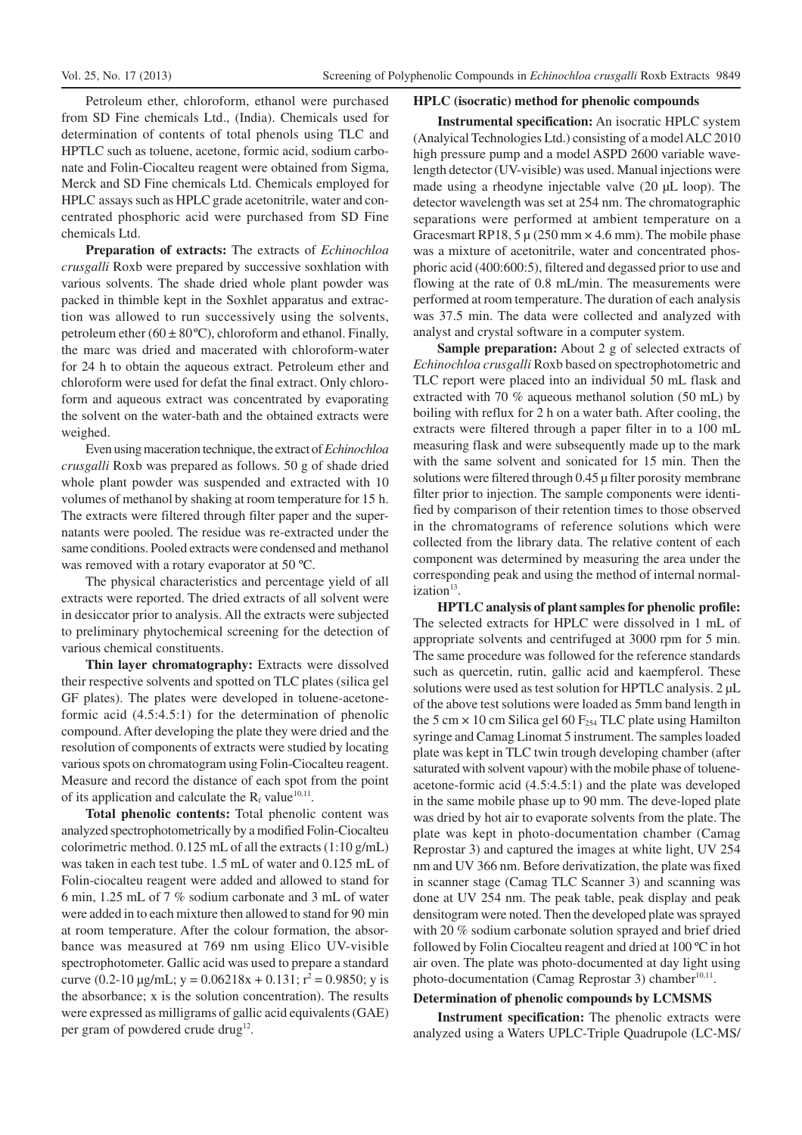Petroleum ether, chloroform, ethanol were purchased from SD Fine chemicals Ltd., (India). Chemicals used for determination of contents of total phenols using TLC and HPTLC such as toluene, acetone, formic acid, sodium carbonate and Folin-Ciocalteu reagent were obtained from Sigma, Merck and SD Fine chemicals Ltd. Chemicals employed for HPLC assays such as HPLC grade acetonitrile, water and concentrated phosphoric acid were purchased from SD Fine chemicals Ltd.

**Preparation of extracts:** The extracts of *Echinochloa crusgalli* Roxb were prepared by successive soxhlation with various solvents. The shade dried whole plant powder was packed in thimble kept in the Soxhlet apparatus and extraction was allowed to run successively using the solvents, petroleum ether  $(60 \pm 80^{\circ}\text{C})$ , chloroform and ethanol. Finally, the marc was dried and macerated with chloroform-water for 24 h to obtain the aqueous extract. Petroleum ether and chloroform were used for defat the final extract. Only chloroform and aqueous extract was concentrated by evaporating the solvent on the water-bath and the obtained extracts were weighed.

Even using maceration technique, the extract of *Echinochloa crusgalli* Roxb was prepared as follows. 50 g of shade dried whole plant powder was suspended and extracted with 10 volumes of methanol by shaking at room temperature for 15 h. The extracts were filtered through filter paper and the supernatants were pooled. The residue was re-extracted under the same conditions. Pooled extracts were condensed and methanol was removed with a rotary evaporator at 50 ºC.

The physical characteristics and percentage yield of all extracts were reported. The dried extracts of all solvent were in desiccator prior to analysis. All the extracts were subjected to preliminary phytochemical screening for the detection of various chemical constituents.

**Thin layer chromatography:** Extracts were dissolved their respective solvents and spotted on TLC plates (silica gel GF plates). The plates were developed in toluene-acetoneformic acid (4.5:4.5:1) for the determination of phenolic compound. After developing the plate they were dried and the resolution of components of extracts were studied by locating various spots on chromatogram using Folin-Ciocalteu reagent. Measure and record the distance of each spot from the point of its application and calculate the  $R_f$  value<sup>10,11</sup>.

**Total phenolic contents:** Total phenolic content was analyzed spectrophotometrically by a modified Folin-Ciocalteu colorimetric method. 0.125 mL of all the extracts (1:10 g/mL) was taken in each test tube. 1.5 mL of water and 0.125 mL of Folin-ciocalteu reagent were added and allowed to stand for 6 min, 1.25 mL of 7 % sodium carbonate and 3 mL of water were added in to each mixture then allowed to stand for 90 min at room temperature. After the colour formation, the absorbance was measured at 769 nm using Elico UV-visible spectrophotometer. Gallic acid was used to prepare a standard curve  $(0.2\n-10 \text{ µg/mL}; y = 0.06218x + 0.131; r^2 = 0.9850; y$  is the absorbance; x is the solution concentration). The results were expressed as milligrams of gallic acid equivalents (GAE) per gram of powdered crude drug<sup>12</sup>.

#### **HPLC (isocratic) method for phenolic compounds**

**Instrumental specification:** An isocratic HPLC system (Analyical Technologies Ltd.) consisting of a model ALC 2010 high pressure pump and a model ASPD 2600 variable wavelength detector (UV-visible) was used. Manual injections were made using a rheodyne injectable valve (20 µL loop). The detector wavelength was set at 254 nm. The chromatographic separations were performed at ambient temperature on a Gracesmart RP18,  $5 \mu (250 \text{ mm} \times 4.6 \text{ mm})$ . The mobile phase was a mixture of acetonitrile, water and concentrated phosphoric acid (400:600:5), filtered and degassed prior to use and flowing at the rate of 0.8 mL/min. The measurements were performed at room temperature. The duration of each analysis was 37.5 min. The data were collected and analyzed with analyst and crystal software in a computer system.

**Sample preparation:** About 2 g of selected extracts of *Echinochloa crusgalli* Roxb based on spectrophotometric and TLC report were placed into an individual 50 mL flask and extracted with 70 % aqueous methanol solution (50 mL) by boiling with reflux for 2 h on a water bath. After cooling, the extracts were filtered through a paper filter in to a 100 mL measuring flask and were subsequently made up to the mark with the same solvent and sonicated for 15 min. Then the solutions were filtered through  $0.45 \mu$  filter porosity membrane filter prior to injection. The sample components were identified by comparison of their retention times to those observed in the chromatograms of reference solutions which were collected from the library data. The relative content of each component was determined by measuring the area under the corresponding peak and using the method of internal normalization<sup>13</sup>.

**HPTLC analysis of plant samples for phenolic profile:** The selected extracts for HPLC were dissolved in 1 mL of appropriate solvents and centrifuged at 3000 rpm for 5 min. The same procedure was followed for the reference standards such as quercetin, rutin, gallic acid and kaempferol. These solutions were used as test solution for HPTLC analysis. 2  $\mu$ L of the above test solutions were loaded as 5mm band length in the 5 cm  $\times$  10 cm Silica gel 60 F<sub>254</sub> TLC plate using Hamilton syringe and Camag Linomat 5 instrument. The samples loaded plate was kept in TLC twin trough developing chamber (after saturated with solvent vapour) with the mobile phase of tolueneacetone-formic acid (4.5:4.5:1) and the plate was developed in the same mobile phase up to 90 mm. The deve-loped plate was dried by hot air to evaporate solvents from the plate. The plate was kept in photo-documentation chamber (Camag Reprostar 3) and captured the images at white light, UV 254 nm and UV 366 nm. Before derivatization, the plate was fixed in scanner stage (Camag TLC Scanner 3) and scanning was done at UV 254 nm. The peak table, peak display and peak densitogram were noted. Then the developed plate was sprayed with 20 % sodium carbonate solution sprayed and brief dried followed by Folin Ciocalteu reagent and dried at 100 ºC in hot air oven. The plate was photo-documented at day light using photo-documentation (Camag Reprostar 3) chamber<sup>10,11</sup>.

# **Determination of phenolic compounds by LCMSMS**

**Instrument specification:** The phenolic extracts were analyzed using a Waters UPLC-Triple Quadrupole (LC-MS/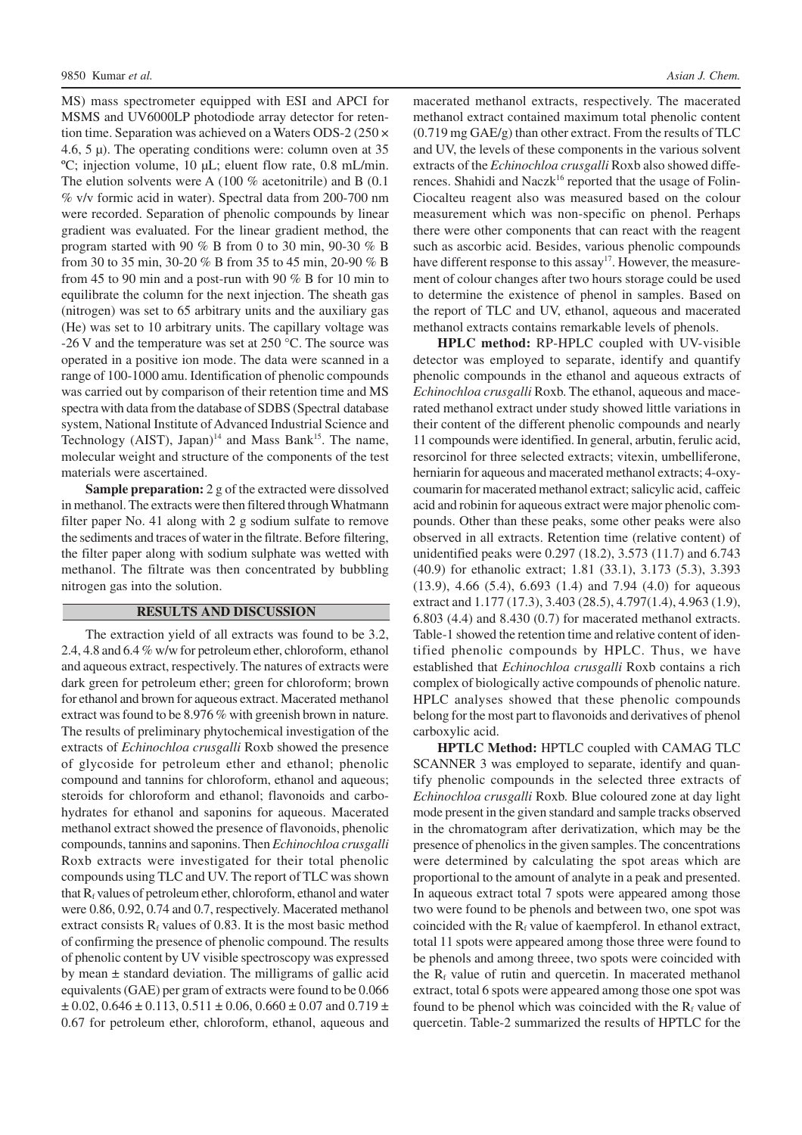MS) mass spectrometer equipped with ESI and APCI for MSMS and UV6000LP photodiode array detector for retention time. Separation was achieved on a Waters ODS-2 (250 × 4.6, 5  $\mu$ ). The operating conditions were: column oven at 35 ºC; injection volume, 10 µL; eluent flow rate, 0.8 mL/min. The elution solvents were A (100 % acetonitrile) and B (0.1 % v/v formic acid in water). Spectral data from 200-700 nm were recorded. Separation of phenolic compounds by linear gradient was evaluated. For the linear gradient method, the program started with 90 % B from 0 to 30 min, 90-30 % B from 30 to 35 min, 30-20 % B from 35 to 45 min, 20-90 % B from 45 to 90 min and a post-run with 90 % B for 10 min to equilibrate the column for the next injection. The sheath gas (nitrogen) was set to 65 arbitrary units and the auxiliary gas (He) was set to 10 arbitrary units. The capillary voltage was  $-26$  V and the temperature was set at 250 °C. The source was operated in a positive ion mode. The data were scanned in a range of 100-1000 amu. Identification of phenolic compounds was carried out by comparison of their retention time and MS spectra with data from the database of SDBS (Spectral database system, National Institute of Advanced Industrial Science and Technology (AIST), Japan)<sup>14</sup> and Mass Bank<sup>15</sup>. The name, molecular weight and structure of the components of the test materials were ascertained.

**Sample preparation:** 2 g of the extracted were dissolved in methanol. The extracts were then filtered through Whatmann filter paper No. 41 along with 2 g sodium sulfate to remove the sediments and traces of water in the filtrate. Before filtering, the filter paper along with sodium sulphate was wetted with methanol. The filtrate was then concentrated by bubbling nitrogen gas into the solution.

### **RESULTS AND DISCUSSION**

The extraction yield of all extracts was found to be 3.2, 2.4, 4.8 and 6.4 % w/w for petroleum ether, chloroform, ethanol and aqueous extract, respectively. The natures of extracts were dark green for petroleum ether; green for chloroform; brown for ethanol and brown for aqueous extract. Macerated methanol extract was found to be 8.976 % with greenish brown in nature. The results of preliminary phytochemical investigation of the extracts of *Echinochloa crusgalli* Roxb showed the presence of glycoside for petroleum ether and ethanol; phenolic compound and tannins for chloroform, ethanol and aqueous; steroids for chloroform and ethanol; flavonoids and carbohydrates for ethanol and saponins for aqueous. Macerated methanol extract showed the presence of flavonoids, phenolic compounds, tannins and saponins. Then *Echinochloa crusgalli* Roxb extracts were investigated for their total phenolic compounds using TLC and UV. The report of TLC was shown that  $R_f$  values of petroleum ether, chloroform, ethanol and water were 0.86, 0.92, 0.74 and 0.7, respectively. Macerated methanol extract consists  $R_f$  values of 0.83. It is the most basic method of confirming the presence of phenolic compound. The results of phenolic content by UV visible spectroscopy was expressed by mean ± standard deviation. The milligrams of gallic acid equivalents (GAE) per gram of extracts were found to be 0.066  $\pm$  0.02, 0.646  $\pm$  0.113, 0.511  $\pm$  0.06, 0.660  $\pm$  0.07 and 0.719  $\pm$ 0.67 for petroleum ether, chloroform, ethanol, aqueous and

macerated methanol extracts, respectively. The macerated methanol extract contained maximum total phenolic content (0.719 mg GAE/g) than other extract. From the results of TLC and UV, the levels of these components in the various solvent extracts of the *Echinochloa crusgalli* Roxb also showed differences. Shahidi and Naczk<sup>16</sup> reported that the usage of Folin-Ciocalteu reagent also was measured based on the colour measurement which was non-specific on phenol. Perhaps there were other components that can react with the reagent such as ascorbic acid. Besides, various phenolic compounds have different response to this assay<sup>17</sup>. However, the measurement of colour changes after two hours storage could be used to determine the existence of phenol in samples. Based on the report of TLC and UV, ethanol, aqueous and macerated methanol extracts contains remarkable levels of phenols.

**HPLC method:** RP-HPLC coupled with UV-visible detector was employed to separate, identify and quantify phenolic compounds in the ethanol and aqueous extracts of *Echinochloa crusgalli* Roxb. The ethanol, aqueous and macerated methanol extract under study showed little variations in their content of the different phenolic compounds and nearly 11 compounds were identified. In general, arbutin, ferulic acid, resorcinol for three selected extracts; vitexin, umbelliferone, herniarin for aqueous and macerated methanol extracts; 4-oxycoumarin for macerated methanol extract; salicylic acid, caffeic acid and robinin for aqueous extract were major phenolic compounds. Other than these peaks, some other peaks were also observed in all extracts. Retention time (relative content) of unidentified peaks were 0.297 (18.2), 3.573 (11.7) and 6.743 (40.9) for ethanolic extract; 1.81 (33.1), 3.173 (5.3), 3.393 (13.9), 4.66 (5.4), 6.693 (1.4) and 7.94 (4.0) for aqueous extract and 1.177 (17.3), 3.403 (28.5), 4.797(1.4), 4.963 (1.9), 6.803 (4.4) and 8.430 (0.7) for macerated methanol extracts. Table-1 showed the retention time and relative content of identified phenolic compounds by HPLC. Thus, we have established that *Echinochloa crusgalli* Roxb contains a rich complex of biologically active compounds of phenolic nature. HPLC analyses showed that these phenolic compounds belong for the most part to flavonoids and derivatives of phenol carboxylic acid.

**HPTLC Method:** HPTLC coupled with CAMAG TLC SCANNER 3 was employed to separate, identify and quantify phenolic compounds in the selected three extracts of *Echinochloa crusgalli* Roxb*.* Blue coloured zone at day light mode present in the given standard and sample tracks observed in the chromatogram after derivatization, which may be the presence of phenolics in the given samples. The concentrations were determined by calculating the spot areas which are proportional to the amount of analyte in a peak and presented. In aqueous extract total 7 spots were appeared among those two were found to be phenols and between two, one spot was coincided with the  $R_f$  value of kaempferol. In ethanol extract, total 11 spots were appeared among those three were found to be phenols and among threee, two spots were coincided with the  $R_f$  value of rutin and quercetin. In macerated methanol extract, total 6 spots were appeared among those one spot was found to be phenol which was coincided with the  $R_f$  value of quercetin. Table-2 summarized the results of HPTLC for the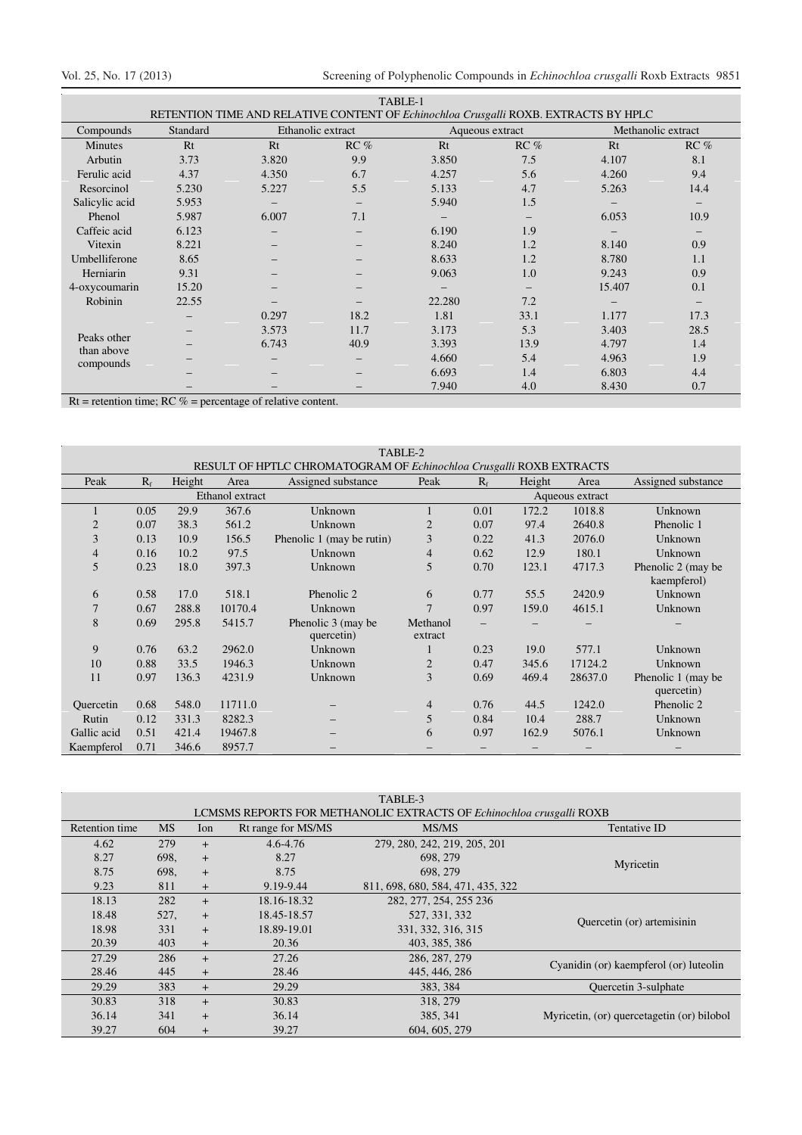Ξ

| TABLE-1                                                                             |          |                   |        |                 |                   |                    |        |  |
|-------------------------------------------------------------------------------------|----------|-------------------|--------|-----------------|-------------------|--------------------|--------|--|
| RETENTION TIME AND RELATIVE CONTENT OF Echinochloa Crusgalli ROXB. EXTRACTS BY HPLC |          |                   |        |                 |                   |                    |        |  |
| Compounds                                                                           | Standard | Ethanolic extract |        | Aqueous extract |                   | Methanolic extract |        |  |
| Minutes                                                                             | Rt       | Rt                | $RC\%$ | Rt              | RC %              | Rt                 | $RC\%$ |  |
| Arbutin                                                                             | 3.73     | 3.820             | 9.9    | 3.850           | 7.5               | 4.107              | 8.1    |  |
| Ferulic acid                                                                        | 4.37     | 4.350             | 6.7    | 4.257           | 5.6               | 4.260              | 9.4    |  |
| Resorcinol                                                                          | 5.230    | 5.227             | 5.5    | 5.133           | 4.7               | 5.263              | 14.4   |  |
| Salicylic acid                                                                      | 5.953    |                   |        | 5.940           | 1.5               |                    |        |  |
| Phenol                                                                              | 5.987    | 6.007             | 7.1    |                 |                   | 6.053              | 10.9   |  |
| Caffeic acid                                                                        | 6.123    |                   |        | 6.190           | 1.9               |                    |        |  |
| Vitexin<br>Umbelliferone                                                            | 8.221    |                   |        | 8.240           | 1.2               | 8.140              | 0.9    |  |
|                                                                                     | 8.65     |                   |        | 8.633           | 1.2               | 8.780              | 1.1    |  |
| Herniarin                                                                           | 9.31     |                   |        | 9.063           | 1.0               | 9.243              | 0.9    |  |
| 4-oxycoumarin                                                                       | 15.20    |                   |        |                 | $\qquad \qquad -$ | 15.407             | 0.1    |  |
| Robinin                                                                             | 22.55    |                   |        | 22.280          | 7.2               |                    |        |  |
| Peaks other<br>than above<br>compounds                                              |          | 0.297             | 18.2   | 1.81            | 33.1              | 1.177              | 17.3   |  |
|                                                                                     |          | 3.573             | 11.7   | 3.173           | 5.3               | 3.403              | 28.5   |  |
|                                                                                     |          | 6.743             | 40.9   | 3.393           | 13.9              | 4.797              | 1.4    |  |
|                                                                                     |          |                   |        | 4.660           | 5.4               | 4.963              | 1.9    |  |
|                                                                                     |          |                   |        | 6.693           | 1.4               | 6.803              | 4.4    |  |
|                                                                                     |          |                   |        | 7.940           | 4.0               | 8.430              | 0.7    |  |

 $Rt$  = retention time;  $RC$  % = percentage of relative content.

| TABLE-2                                                             |             |        |         |                           |                |             |        |                 |                     |
|---------------------------------------------------------------------|-------------|--------|---------|---------------------------|----------------|-------------|--------|-----------------|---------------------|
| RESULT OF HPTLC CHROMATOGRAM OF Echinochloa Crusgalli ROXB EXTRACTS |             |        |         |                           |                |             |        |                 |                     |
| Peak                                                                | $R_{\rm f}$ | Height | Area    | Assigned substance        | Peak           | $R_{\rm f}$ | Height | Area            | Assigned substance  |
| Ethanol extract                                                     |             |        |         |                           |                |             |        | Aqueous extract |                     |
|                                                                     | 0.05        | 29.9   | 367.6   | Unknown                   |                | 0.01        | 172.2  | 1018.8          | Unknown             |
| $\overline{2}$                                                      | 0.07        | 38.3   | 561.2   | Unknown                   | $\overline{2}$ | 0.07        | 97.4   | 2640.8          | Phenolic 1          |
| 3                                                                   | 0.13        | 10.9   | 156.5   | Phenolic 1 (may be rutin) | 3              | 0.22        | 41.3   | 2076.0          | Unknown             |
| 4                                                                   | 0.16        | 10.2   | 97.5    | Unknown                   | $\overline{4}$ | 0.62        | 12.9   | 180.1           | Unknown             |
| 5                                                                   | 0.23        | 18.0   | 397.3   | Unknown                   | 5              | 0.70        | 123.1  | 4717.3          | Phenolic 2 (may be) |
|                                                                     |             |        |         |                           |                |             |        |                 | kaempferol)         |
| 6                                                                   | 0.58        | 17.0   | 518.1   | Phenolic 2                | 6              | 0.77        | 55.5   | 2420.9          | Unknown             |
| 7                                                                   | 0.67        | 288.8  | 10170.4 | Unknown                   | $\overline{7}$ | 0.97        | 159.0  | 4615.1          | Unknown             |
| 8                                                                   | 0.69        | 295.8  | 5415.7  | Phenolic 3 (may be)       | Methanol       |             |        |                 |                     |
|                                                                     |             |        |         | quercetin)                | extract        |             |        |                 |                     |
| 9                                                                   | 0.76        | 63.2   | 2962.0  | Unknown                   |                | 0.23        | 19.0   | 577.1           | Unknown             |
| 10                                                                  | 0.88        | 33.5   | 1946.3  | Unknown                   | $\overline{2}$ | 0.47        | 345.6  | 17124.2         | Unknown             |
| 11                                                                  | 0.97        | 136.3  | 4231.9  | Unknown                   | 3              | 0.69        | 469.4  | 28637.0         | Phenolic 1 (may be) |
|                                                                     |             |        |         |                           |                |             |        |                 | quercetin)          |
| Quercetin                                                           | 0.68        | 548.0  | 11711.0 |                           | $\overline{4}$ | 0.76        | 44.5   | 1242.0          | Phenolic 2          |
| Rutin                                                               | 0.12        | 331.3  | 8282.3  |                           | 5              | 0.84        | 10.4   | 288.7           | Unknown             |
| Gallic acid                                                         | 0.51        | 421.4  | 19467.8 |                           | 6              | 0.97        | 162.9  | 5076.1          | Unknown             |
| Kaempferol                                                          | 0.71        | 346.6  | 8957.7  |                           |                |             |        |                 |                     |

TABLE-3

| <b>LCMSMS REPORTS FOR METHANOLIC EXTRACTS OF Echinochloa crusgalli ROXB</b> |           |        |                    |                                   |                                            |  |  |
|-----------------------------------------------------------------------------|-----------|--------|--------------------|-----------------------------------|--------------------------------------------|--|--|
| Retention time                                                              | <b>MS</b> | Ion    | Rt range for MS/MS | MS/MS                             | Tentative ID                               |  |  |
| 4.62                                                                        | 279       | $+$    | $4.6 - 4.76$       | 279, 280, 242, 219, 205, 201      |                                            |  |  |
| 8.27                                                                        | 698.      | $+$    | 8.27               | 698, 279                          | Myricetin                                  |  |  |
| 8.75                                                                        | 698.      | $+$    | 8.75               | 698, 279                          |                                            |  |  |
| 9.23                                                                        | 811       | $+$    | 9.19-9.44          | 811, 698, 680, 584, 471, 435, 322 |                                            |  |  |
| 18.13                                                                       | 282       | $^{+}$ | 18.16-18.32        | 282, 277, 254, 255 236            |                                            |  |  |
| 18.48                                                                       | 527,      | $+$    | 18.45-18.57        | 527, 331, 332                     | Quercetin (or) artemisinin                 |  |  |
| 18.98                                                                       | 331       | $+$    | 18.89-19.01        | 331, 332, 316, 315                |                                            |  |  |
| 20.39                                                                       | 403       | $+$    | 20.36              | 403, 385, 386                     |                                            |  |  |
| 27.29                                                                       | 286       | $+$    | 27.26              | 286, 287, 279                     |                                            |  |  |
| 28.46                                                                       | 445       | $+$    | 28.46              | 445, 446, 286                     | Cyanidin (or) kaempferol (or) luteolin     |  |  |
| 29.29                                                                       | 383       | $+$    | 29.29              | 383, 384                          | Quercetin 3-sulphate                       |  |  |
| 30.83                                                                       | 318       | $+$    | 30.83              | 318, 279                          |                                            |  |  |
| 36.14                                                                       | 341       | $+$    | 36.14              | 385, 341                          | Myricetin, (or) quercetagetin (or) bilobol |  |  |
| 39.27                                                                       | 604       | $+$    | 39.27              | 604, 605, 279                     |                                            |  |  |